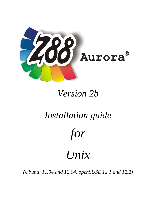

# *Version 2b*

# *Installation guide*

*for*

# *Unix*

*(Ubuntu 11.04 and 12.04, openSUSE 12.1 and 12.2)*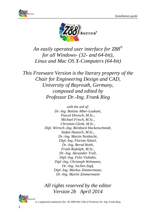



*An easily operated user interface for Z88 for all Windows- (32- and 64-bit), Linux and Mac OS X-Computers (64-bit)*

*This Freeware Version is the literary property of the Chair for Engineering Design and CAD, University of Bayreuth, Germany, composed and edited by Professor Dr.-Ing. Frank Rieg*

> *with the aid of: Dr.-Ing. Bettina Alber-Laukant, Pascal Diwisch, M.Sc., Michael Frisch, M.Sc., Christian Glenk, M.Sc., Dipl. Wirtsch.-Ing. Reinhard Hackenschmidt, Stefan Hautsch, M.Sc., Dr.-Ing. Martin Neidnicht, Dipl.-Ing. Florian Nützel, Dr.-Ing. Bernd Roith, Frank Rudolph, M.Sc., Dr.-Ing. Alexander Troll, Dipl.-Ing. Felix Viebahn, Dipl.-Ing. Christoph Wehmann, Dr.-Ing. Jochen Zapf, Dipl.-Ing. Markus Zimmermann, Dr.-Ing. Martin Zimmermann*

*All rights reserved by the editor Version 2b April 2014*



is a registered trademark (No. 30 2009 064 238) of Professor Dr.-Ing. Frank Rieg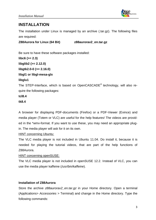

## **INSTALLATION**

The installation under Linux is managed by an archive (.tar.gz). The following files are required:

**Z88Aurora for Linux (64 Bit) z88aurorav2\_en.tar.gz**

Be sure to have these software packages installed: **libc6 (>= 2.3) libglib2 (>= 2.12.0) libgtk2.0-0 (>= 2.16.0) libgl1 or libgl-mesa-glx libglu1**

The STEP-Interface, which is based on OpenCASCADE® technology, will also require the following packages:

# **tcl8.4**

**tk8.4**

A browser for displaying PDF-documents (Firefox) or a PDF-Viewer (Evince) and media player (Totem or VLC) are useful for the help features! The videos are provided in the \*wmv-format. If you want to use these, you may need an appropriate plugin. The media player will ask for it on its own.

#### HINT concerning Ubuntu:

The VLC media player is not included in Ubuntu 11.04. Do install it, because it is needed for playing the tutorial videos, that are part of the help functions of Z88Aurora.

#### HINT concerning openSUSE:

The VLC media player is not included in openSUSE 12.2. Instead of VLC, you can use the media player kaffeine (*/usr/bin/kaffeine*).

#### **Installation of Z88Aurora**

Store the archive *z88aurorav2* en.tar.gz in your Home directory. Open a terminal (Applications> *Accessories >* Terminal) and change in the Home directory. Type the following commands: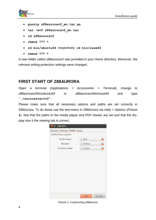

- **gunzip z88aurorav2\_en.tar.gz**
- **tar –xvf z88aurorav2\_en.tar**
- **cd z88aurorav2**
- **chmod 777 \***
- **cd bin/ubuntu64** respectively **cd bin/suse64**
- **chmod 777 \***

A new folder called *z88aurorav2* was provided in your Home directory. Moreover, the relevant writing protection settings were changed.

### **FIRST START OF Z88AURORA**

Open a terminal (Applications *> Accessories > Terminal*), change to *z88aurorav2/bin/ubuntu64* or *z88aurorav2/bin/suse64* and type "**./aurorastartv2".**

Please make sure that all necessary options and paths are set correctly in Z88Aurora. To do these use the text-menu in Z88Aurora via *Help > Options* [\(Picture](#page-3-0) **[1](#page-3-0)**). See that the paths to the media player and PDF-Viewer are set and that the display size it the viewing tab is correct**.** 

<span id="page-3-0"></span>

Picture 1: Customizing Z88Aurora